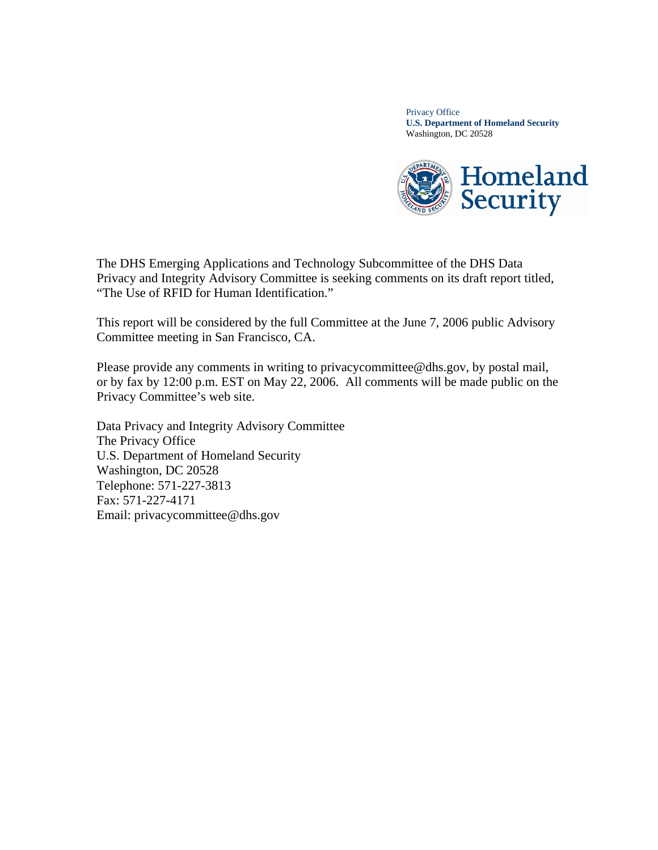Privacy Office **U.S. Department of Homeland Security**  Washington, DC 20528



The DHS Emerging Applications and Technology Subcommittee of the DHS Data Privacy and Integrity Advisory Committee is seeking comments on its draft report titled, "The Use of RFID for Human Identification."

This report will be considered by the full Committee at the June 7, 2006 public Advisory Committee meeting in San Francisco, CA.

Please provide any comments in writing to privacycommittee@dhs.gov, by postal mail, or by fax by 12:00 p.m. EST on May 22, 2006. All comments will be made public on the Privacy Committee's web site.

Data Privacy and Integrity Advisory Committee The Privacy Office U.S. Department of Homeland Security Washington, DC 20528 Telephone: 571-227-3813 Fax: 571-227-4171 Email: privacycommittee@dhs.gov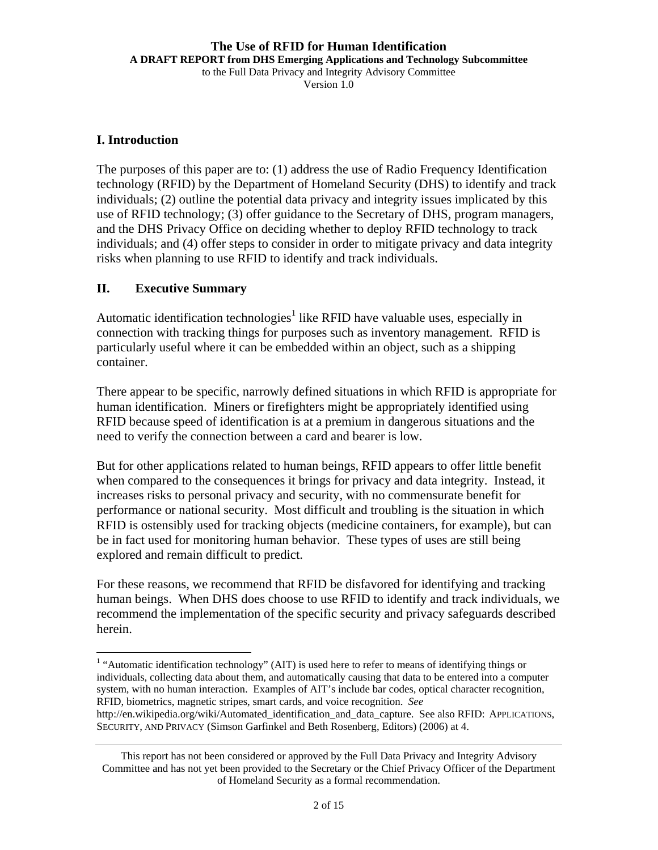#### **The Use of RFID for Human Identification A DRAFT REPORT from DHS Emerging Applications and Technology Subcommittee**

to the Full Data Privacy and Integrity Advisory Committee

Version 1.0

#### **I. Introduction**

 $\overline{a}$ 

The purposes of this paper are to: (1) address the use of Radio Frequency Identification technology (RFID) by the Department of Homeland Security (DHS) to identify and track individuals; (2) outline the potential data privacy and integrity issues implicated by this use of RFID technology; (3) offer guidance to the Secretary of DHS, program managers, and the DHS Privacy Office on deciding whether to deploy RFID technology to track individuals; and (4) offer steps to consider in order to mitigate privacy and data integrity risks when planning to use RFID to identify and track individuals.

### **II. Executive Summary**

Automatic identification technologies<sup>1</sup> like RFID have valuable uses, especially in connection with tracking things for purposes such as inventory management. RFID is particularly useful where it can be embedded within an object, such as a shipping container.

There appear to be specific, narrowly defined situations in which RFID is appropriate for human identification. Miners or firefighters might be appropriately identified using RFID because speed of identification is at a premium in dangerous situations and the need to verify the connection between a card and bearer is low.

But for other applications related to human beings, RFID appears to offer little benefit when compared to the consequences it brings for privacy and data integrity. Instead, it increases risks to personal privacy and security, with no commensurate benefit for performance or national security. Most difficult and troubling is the situation in which RFID is ostensibly used for tracking objects (medicine containers, for example), but can be in fact used for monitoring human behavior. These types of uses are still being explored and remain difficult to predict.

For these reasons, we recommend that RFID be disfavored for identifying and tracking human beings. When DHS does choose to use RFID to identify and track individuals, we recommend the implementation of the specific security and privacy safeguards described herein.

<sup>&</sup>lt;sup>1</sup> "Automatic identification technology" (AIT) is used here to refer to means of identifying things or individuals, collecting data about them, and automatically causing that data to be entered into a computer system, with no human interaction. Examples of AIT's include bar codes, optical character recognition, RFID, biometrics, magnetic stripes, smart cards, and voice recognition. *See* http://en.wikipedia.org/wiki/Automated\_identification\_and\_data\_capture. See also RFID: APPLICATIONS,

SECURITY, AND PRIVACY (Simson Garfinkel and Beth Rosenberg, Editors) (2006) at 4.

This report has not been considered or approved by the Full Data Privacy and Integrity Advisory Committee and has not yet been provided to the Secretary or the Chief Privacy Officer of the Department of Homeland Security as a formal recommendation.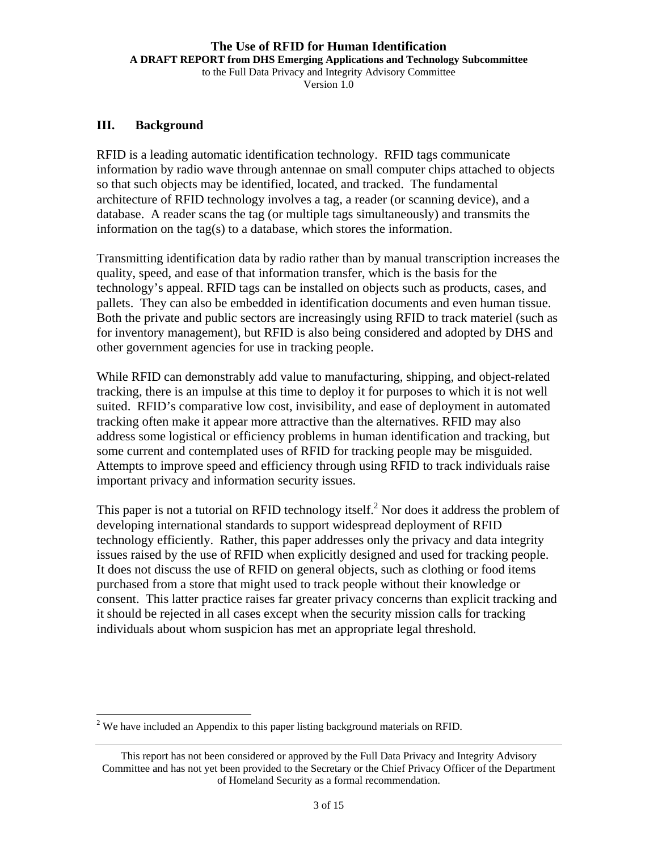#### **The Use of RFID for Human Identification A DRAFT REPORT from DHS Emerging Applications and Technology Subcommittee**  to the Full Data Privacy and Integrity Advisory Committee

Version 1.0

#### **III. Background**

 $\overline{a}$ 

RFID is a leading automatic identification technology. RFID tags communicate information by radio wave through antennae on small computer chips attached to objects so that such objects may be identified, located, and tracked. The fundamental architecture of RFID technology involves a tag, a reader (or scanning device), and a database. A reader scans the tag (or multiple tags simultaneously) and transmits the information on the tag(s) to a database, which stores the information.

Transmitting identification data by radio rather than by manual transcription increases the quality, speed, and ease of that information transfer, which is the basis for the technology's appeal. RFID tags can be installed on objects such as products, cases, and pallets. They can also be embedded in identification documents and even human tissue. Both the private and public sectors are increasingly using RFID to track materiel (such as for inventory management), but RFID is also being considered and adopted by DHS and other government agencies for use in tracking people.

While RFID can demonstrably add value to manufacturing, shipping, and object-related tracking, there is an impulse at this time to deploy it for purposes to which it is not well suited. RFID's comparative low cost, invisibility, and ease of deployment in automated tracking often make it appear more attractive than the alternatives. RFID may also address some logistical or efficiency problems in human identification and tracking, but some current and contemplated uses of RFID for tracking people may be misguided. Attempts to improve speed and efficiency through using RFID to track individuals raise important privacy and information security issues.

This paper is not a tutorial on RFID technology itself.<sup>2</sup> Nor does it address the problem of developing international standards to support widespread deployment of RFID technology efficiently. Rather, this paper addresses only the privacy and data integrity issues raised by the use of RFID when explicitly designed and used for tracking people. It does not discuss the use of RFID on general objects, such as clothing or food items purchased from a store that might used to track people without their knowledge or consent. This latter practice raises far greater privacy concerns than explicit tracking and it should be rejected in all cases except when the security mission calls for tracking individuals about whom suspicion has met an appropriate legal threshold.

 $2$  We have included an Appendix to this paper listing background materials on RFID.

This report has not been considered or approved by the Full Data Privacy and Integrity Advisory Committee and has not yet been provided to the Secretary or the Chief Privacy Officer of the Department of Homeland Security as a formal recommendation.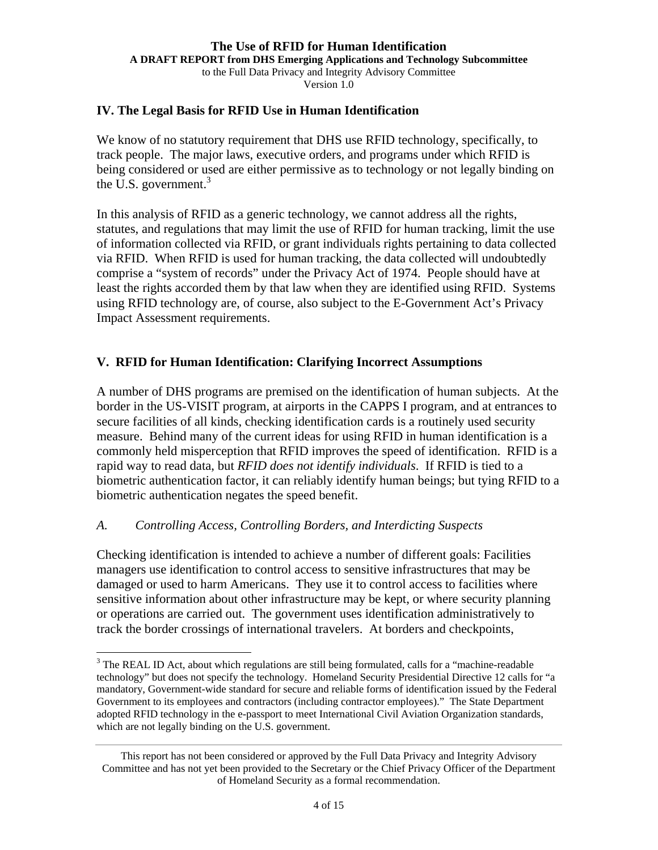#### **The Use of RFID for Human Identification A DRAFT REPORT from DHS Emerging Applications and Technology Subcommittee**  to the Full Data Privacy and Integrity Advisory Committee Version 1.0

#### **IV. The Legal Basis for RFID Use in Human Identification**

We know of no statutory requirement that DHS use RFID technology, specifically, to track people. The major laws, executive orders, and programs under which RFID is being considered or used are either permissive as to technology or not legally binding on the U.S. government. $3$ 

In this analysis of RFID as a generic technology, we cannot address all the rights, statutes, and regulations that may limit the use of RFID for human tracking, limit the use of information collected via RFID, or grant individuals rights pertaining to data collected via RFID. When RFID is used for human tracking, the data collected will undoubtedly comprise a "system of records" under the Privacy Act of 1974. People should have at least the rights accorded them by that law when they are identified using RFID. Systems using RFID technology are, of course, also subject to the E-Government Act's Privacy Impact Assessment requirements.

#### **V. RFID for Human Identification: Clarifying Incorrect Assumptions**

A number of DHS programs are premised on the identification of human subjects. At the border in the US-VISIT program, at airports in the CAPPS I program, and at entrances to secure facilities of all kinds, checking identification cards is a routinely used security measure. Behind many of the current ideas for using RFID in human identification is a commonly held misperception that RFID improves the speed of identification. RFID is a rapid way to read data, but *RFID does not identify individuals*. If RFID is tied to a biometric authentication factor, it can reliably identify human beings; but tying RFID to a biometric authentication negates the speed benefit.

#### *A. Controlling Access, Controlling Borders, and Interdicting Suspects*

 $\overline{a}$ 

Checking identification is intended to achieve a number of different goals: Facilities managers use identification to control access to sensitive infrastructures that may be damaged or used to harm Americans. They use it to control access to facilities where sensitive information about other infrastructure may be kept, or where security planning or operations are carried out. The government uses identification administratively to track the border crossings of international travelers. At borders and checkpoints,

 $3$  The REAL ID Act, about which regulations are still being formulated, calls for a "machine-readable" technology" but does not specify the technology. Homeland Security Presidential Directive 12 calls for "a mandatory, Government-wide standard for secure and reliable forms of identification issued by the Federal Government to its employees and contractors (including contractor employees)." The State Department adopted RFID technology in the e-passport to meet International Civil Aviation Organization standards, which are not legally binding on the U.S. government.

This report has not been considered or approved by the Full Data Privacy and Integrity Advisory Committee and has not yet been provided to the Secretary or the Chief Privacy Officer of the Department of Homeland Security as a formal recommendation.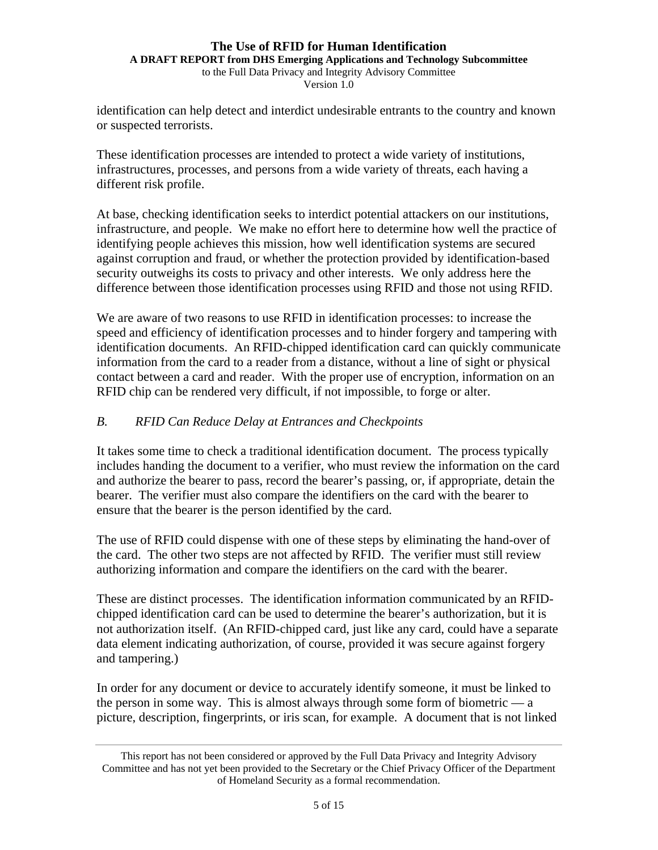**A DRAFT REPORT from DHS Emerging Applications and Technology Subcommittee**  to the Full Data Privacy and Integrity Advisory Committee

Version 1.0

identification can help detect and interdict undesirable entrants to the country and known or suspected terrorists.

These identification processes are intended to protect a wide variety of institutions, infrastructures, processes, and persons from a wide variety of threats, each having a different risk profile.

At base, checking identification seeks to interdict potential attackers on our institutions, infrastructure, and people. We make no effort here to determine how well the practice of identifying people achieves this mission, how well identification systems are secured against corruption and fraud, or whether the protection provided by identification-based security outweighs its costs to privacy and other interests. We only address here the difference between those identification processes using RFID and those not using RFID.

We are aware of two reasons to use RFID in identification processes: to increase the speed and efficiency of identification processes and to hinder forgery and tampering with identification documents. An RFID-chipped identification card can quickly communicate information from the card to a reader from a distance, without a line of sight or physical contact between a card and reader. With the proper use of encryption, information on an RFID chip can be rendered very difficult, if not impossible, to forge or alter.

#### *B. RFID Can Reduce Delay at Entrances and Checkpoints*

It takes some time to check a traditional identification document. The process typically includes handing the document to a verifier, who must review the information on the card and authorize the bearer to pass, record the bearer's passing, or, if appropriate, detain the bearer. The verifier must also compare the identifiers on the card with the bearer to ensure that the bearer is the person identified by the card.

The use of RFID could dispense with one of these steps by eliminating the hand-over of the card. The other two steps are not affected by RFID. The verifier must still review authorizing information and compare the identifiers on the card with the bearer.

These are distinct processes. The identification information communicated by an RFIDchipped identification card can be used to determine the bearer's authorization, but it is not authorization itself. (An RFID-chipped card, just like any card, could have a separate data element indicating authorization, of course, provided it was secure against forgery and tampering.)

In order for any document or device to accurately identify someone, it must be linked to the person in some way. This is almost always through some form of biometric  $\frac{a}{b}$ picture, description, fingerprints, or iris scan, for example. A document that is not linked

This report has not been considered or approved by the Full Data Privacy and Integrity Advisory Committee and has not yet been provided to the Secretary or the Chief Privacy Officer of the Department of Homeland Security as a formal recommendation.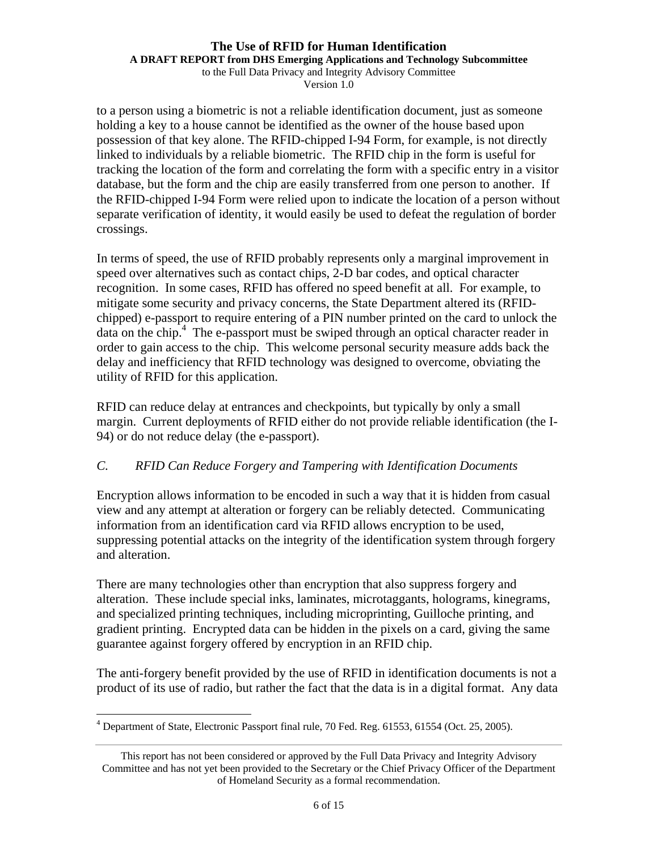**A DRAFT REPORT from DHS Emerging Applications and Technology Subcommittee** 

to the Full Data Privacy and Integrity Advisory Committee Version 1.0

to a person using a biometric is not a reliable identification document, just as someone holding a key to a house cannot be identified as the owner of the house based upon possession of that key alone. The RFID-chipped I-94 Form, for example, is not directly linked to individuals by a reliable biometric. The RFID chip in the form is useful for tracking the location of the form and correlating the form with a specific entry in a visitor database, but the form and the chip are easily transferred from one person to another. If the RFID-chipped I-94 Form were relied upon to indicate the location of a person without separate verification of identity, it would easily be used to defeat the regulation of border crossings.

In terms of speed, the use of RFID probably represents only a marginal improvement in speed over alternatives such as contact chips, 2-D bar codes, and optical character recognition. In some cases, RFID has offered no speed benefit at all. For example, to mitigate some security and privacy concerns, the State Department altered its (RFIDchipped) e-passport to require entering of a PIN number printed on the card to unlock the data on the chip.4 The e-passport must be swiped through an optical character reader in order to gain access to the chip. This welcome personal security measure adds back the delay and inefficiency that RFID technology was designed to overcome, obviating the utility of RFID for this application.

RFID can reduce delay at entrances and checkpoints, but typically by only a small margin. Current deployments of RFID either do not provide reliable identification (the I-94) or do not reduce delay (the e-passport).

### *C. RFID Can Reduce Forgery and Tampering with Identification Documents*

Encryption allows information to be encoded in such a way that it is hidden from casual view and any attempt at alteration or forgery can be reliably detected. Communicating information from an identification card via RFID allows encryption to be used, suppressing potential attacks on the integrity of the identification system through forgery and alteration.

There are many technologies other than encryption that also suppress forgery and alteration. These include special inks, laminates, microtaggants, holograms, kinegrams, and specialized printing techniques, including microprinting, Guilloche printing, and gradient printing. Encrypted data can be hidden in the pixels on a card, giving the same guarantee against forgery offered by encryption in an RFID chip.

The anti-forgery benefit provided by the use of RFID in identification documents is not a product of its use of radio, but rather the fact that the data is in a digital format. Any data

<sup>&</sup>lt;u>.</u> <sup>4</sup> Department of State, Electronic Passport final rule, 70 Fed. Reg. 61553, 61554 (Oct. 25, 2005).

This report has not been considered or approved by the Full Data Privacy and Integrity Advisory Committee and has not yet been provided to the Secretary or the Chief Privacy Officer of the Department of Homeland Security as a formal recommendation.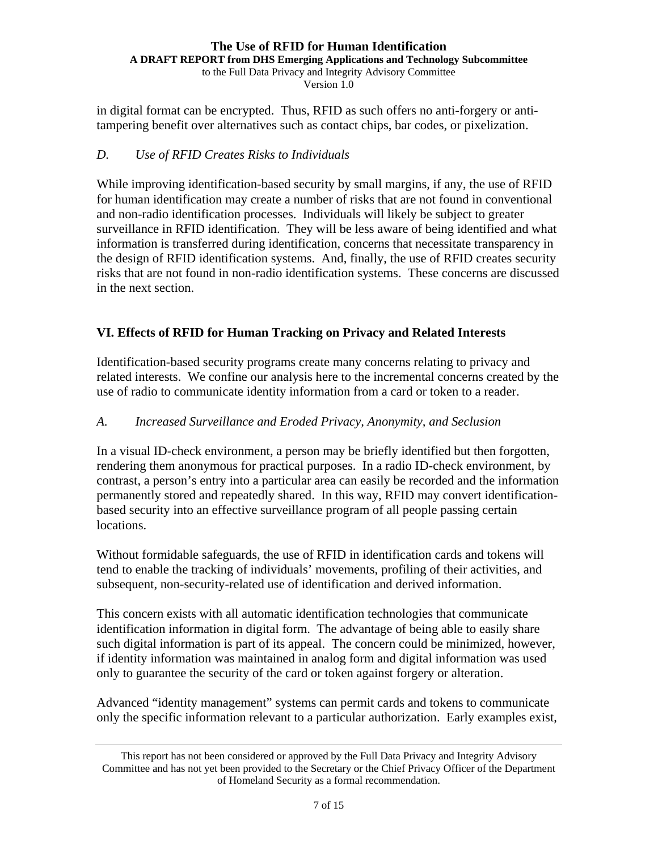#### **The Use of RFID for Human Identification A DRAFT REPORT from DHS Emerging Applications and Technology Subcommittee**

to the Full Data Privacy and Integrity Advisory Committee Version 1.0

in digital format can be encrypted. Thus, RFID as such offers no anti-forgery or antitampering benefit over alternatives such as contact chips, bar codes, or pixelization.

## *D. Use of RFID Creates Risks to Individuals*

While improving identification-based security by small margins, if any, the use of RFID for human identification may create a number of risks that are not found in conventional and non-radio identification processes. Individuals will likely be subject to greater surveillance in RFID identification. They will be less aware of being identified and what information is transferred during identification, concerns that necessitate transparency in the design of RFID identification systems. And, finally, the use of RFID creates security risks that are not found in non-radio identification systems. These concerns are discussed in the next section.

## **VI. Effects of RFID for Human Tracking on Privacy and Related Interests**

Identification-based security programs create many concerns relating to privacy and related interests. We confine our analysis here to the incremental concerns created by the use of radio to communicate identity information from a card or token to a reader.

## *A. Increased Surveillance and Eroded Privacy, Anonymity, and Seclusion*

In a visual ID-check environment, a person may be briefly identified but then forgotten, rendering them anonymous for practical purposes. In a radio ID-check environment, by contrast, a person's entry into a particular area can easily be recorded and the information permanently stored and repeatedly shared. In this way, RFID may convert identificationbased security into an effective surveillance program of all people passing certain locations.

Without formidable safeguards, the use of RFID in identification cards and tokens will tend to enable the tracking of individuals' movements, profiling of their activities, and subsequent, non-security-related use of identification and derived information.

This concern exists with all automatic identification technologies that communicate identification information in digital form. The advantage of being able to easily share such digital information is part of its appeal. The concern could be minimized, however, if identity information was maintained in analog form and digital information was used only to guarantee the security of the card or token against forgery or alteration.

Advanced "identity management" systems can permit cards and tokens to communicate only the specific information relevant to a particular authorization. Early examples exist,

This report has not been considered or approved by the Full Data Privacy and Integrity Advisory Committee and has not yet been provided to the Secretary or the Chief Privacy Officer of the Department of Homeland Security as a formal recommendation.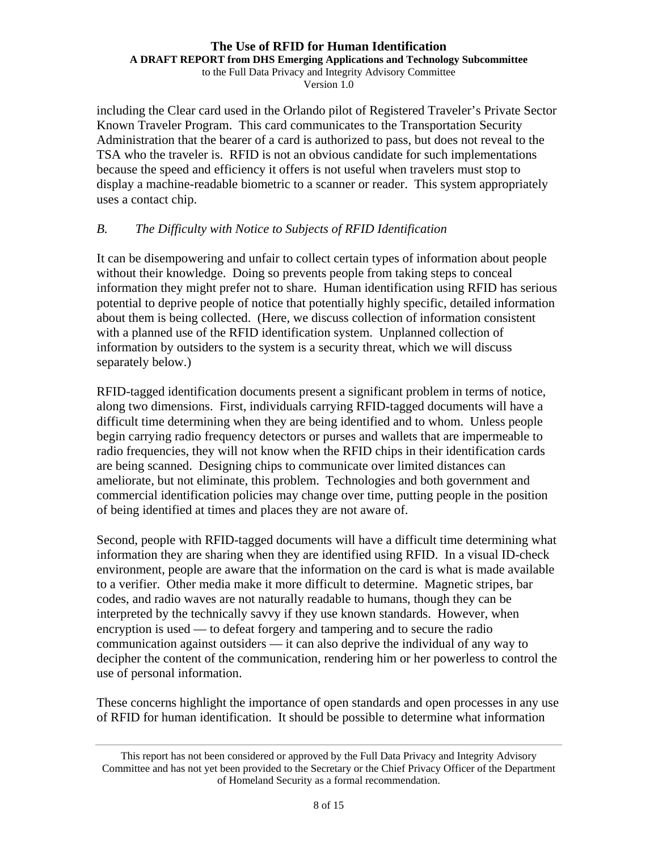#### **The Use of RFID for Human Identification A DRAFT REPORT from DHS Emerging Applications and Technology Subcommittee**

to the Full Data Privacy and Integrity Advisory Committee Version 1.0

including the Clear card used in the Orlando pilot of Registered Traveler's Private Sector Known Traveler Program. This card communicates to the Transportation Security Administration that the bearer of a card is authorized to pass, but does not reveal to the TSA who the traveler is. RFID is not an obvious candidate for such implementations because the speed and efficiency it offers is not useful when travelers must stop to display a machine-readable biometric to a scanner or reader. This system appropriately uses a contact chip.

#### *B. The Difficulty with Notice to Subjects of RFID Identification*

It can be disempowering and unfair to collect certain types of information about people without their knowledge. Doing so prevents people from taking steps to conceal information they might prefer not to share. Human identification using RFID has serious potential to deprive people of notice that potentially highly specific, detailed information about them is being collected. (Here, we discuss collection of information consistent with a planned use of the RFID identification system. Unplanned collection of information by outsiders to the system is a security threat, which we will discuss separately below.)

RFID-tagged identification documents present a significant problem in terms of notice, along two dimensions. First, individuals carrying RFID-tagged documents will have a difficult time determining when they are being identified and to whom. Unless people begin carrying radio frequency detectors or purses and wallets that are impermeable to radio frequencies, they will not know when the RFID chips in their identification cards are being scanned. Designing chips to communicate over limited distances can ameliorate, but not eliminate, this problem. Technologies and both government and commercial identification policies may change over time, putting people in the position of being identified at times and places they are not aware of.

Second, people with RFID-tagged documents will have a difficult time determining what information they are sharing when they are identified using RFID. In a visual ID-check environment, people are aware that the information on the card is what is made available to a verifier. Other media make it more difficult to determine. Magnetic stripes, bar codes, and radio waves are not naturally readable to humans, though they can be interpreted by the technically savvy if they use known standards. However, when encryption is used — to defeat forgery and tampering and to secure the radio communication against outsiders — it can also deprive the individual of any way to decipher the content of the communication, rendering him or her powerless to control the use of personal information.

These concerns highlight the importance of open standards and open processes in any use of RFID for human identification. It should be possible to determine what information

This report has not been considered or approved by the Full Data Privacy and Integrity Advisory Committee and has not yet been provided to the Secretary or the Chief Privacy Officer of the Department of Homeland Security as a formal recommendation.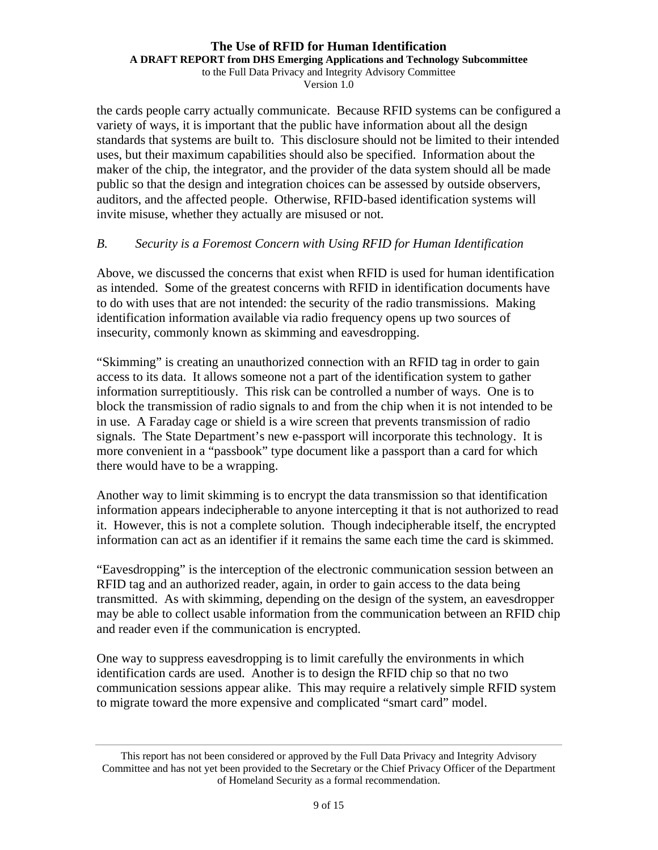**A DRAFT REPORT from DHS Emerging Applications and Technology Subcommittee** 

to the Full Data Privacy and Integrity Advisory Committee Version 1.0

the cards people carry actually communicate. Because RFID systems can be configured a variety of ways, it is important that the public have information about all the design standards that systems are built to. This disclosure should not be limited to their intended uses, but their maximum capabilities should also be specified. Information about the maker of the chip, the integrator, and the provider of the data system should all be made public so that the design and integration choices can be assessed by outside observers, auditors, and the affected people. Otherwise, RFID-based identification systems will invite misuse, whether they actually are misused or not.

### *B. Security is a Foremost Concern with Using RFID for Human Identification*

Above, we discussed the concerns that exist when RFID is used for human identification as intended. Some of the greatest concerns with RFID in identification documents have to do with uses that are not intended: the security of the radio transmissions. Making identification information available via radio frequency opens up two sources of insecurity, commonly known as skimming and eavesdropping.

"Skimming" is creating an unauthorized connection with an RFID tag in order to gain access to its data. It allows someone not a part of the identification system to gather information surreptitiously. This risk can be controlled a number of ways. One is to block the transmission of radio signals to and from the chip when it is not intended to be in use. A Faraday cage or shield is a wire screen that prevents transmission of radio signals. The State Department's new e-passport will incorporate this technology. It is more convenient in a "passbook" type document like a passport than a card for which there would have to be a wrapping.

Another way to limit skimming is to encrypt the data transmission so that identification information appears indecipherable to anyone intercepting it that is not authorized to read it. However, this is not a complete solution. Though indecipherable itself, the encrypted information can act as an identifier if it remains the same each time the card is skimmed.

"Eavesdropping" is the interception of the electronic communication session between an RFID tag and an authorized reader, again, in order to gain access to the data being transmitted. As with skimming, depending on the design of the system, an eavesdropper may be able to collect usable information from the communication between an RFID chip and reader even if the communication is encrypted.

One way to suppress eavesdropping is to limit carefully the environments in which identification cards are used. Another is to design the RFID chip so that no two communication sessions appear alike. This may require a relatively simple RFID system to migrate toward the more expensive and complicated "smart card" model.

This report has not been considered or approved by the Full Data Privacy and Integrity Advisory Committee and has not yet been provided to the Secretary or the Chief Privacy Officer of the Department of Homeland Security as a formal recommendation.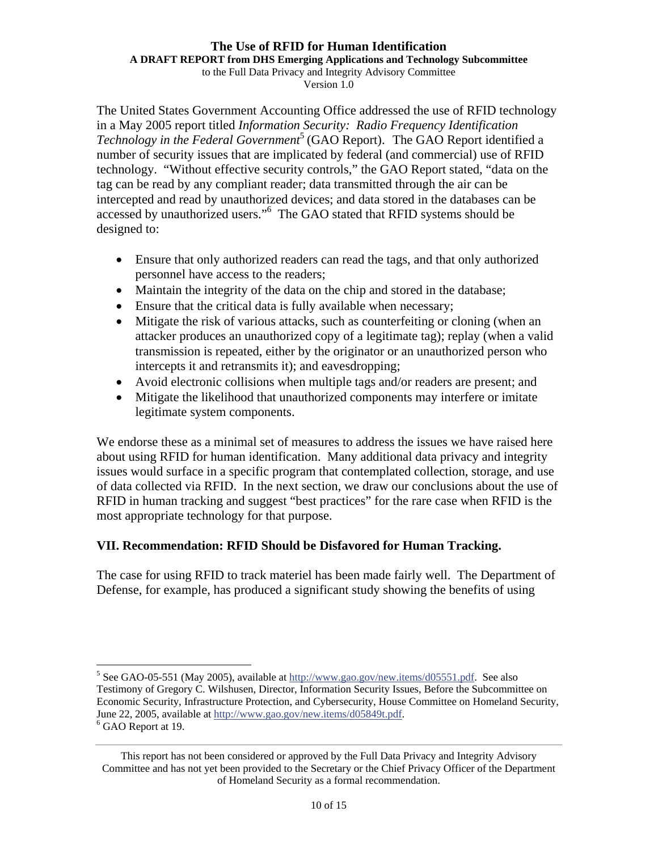**A DRAFT REPORT from DHS Emerging Applications and Technology Subcommittee** 

to the Full Data Privacy and Integrity Advisory Committee Version 1.0

The United States Government Accounting Office addressed the use of RFID technology in a May 2005 report titled *Information Security: Radio Frequency Identification Technology in the Federal Government*<sup>5</sup> (GAO Report). The GAO Report identified a number of security issues that are implicated by federal (and commercial) use of RFID technology. "Without effective security controls," the GAO Report stated, "data on the tag can be read by any compliant reader; data transmitted through the air can be intercepted and read by unauthorized devices; and data stored in the databases can be accessed by unauthorized users."6 The GAO stated that RFID systems should be designed to:

- Ensure that only authorized readers can read the tags, and that only authorized personnel have access to the readers;
- Maintain the integrity of the data on the chip and stored in the database;
- Ensure that the critical data is fully available when necessary;
- Mitigate the risk of various attacks, such as counterfeiting or cloning (when an attacker produces an unauthorized copy of a legitimate tag); replay (when a valid transmission is repeated, either by the originator or an unauthorized person who intercepts it and retransmits it); and eavesdropping;
- Avoid electronic collisions when multiple tags and/or readers are present; and
- Mitigate the likelihood that unauthorized components may interfere or imitate legitimate system components.

We endorse these as a minimal set of measures to address the issues we have raised here about using RFID for human identification. Many additional data privacy and integrity issues would surface in a specific program that contemplated collection, storage, and use of data collected via RFID. In the next section, we draw our conclusions about the use of RFID in human tracking and suggest "best practices" for the rare case when RFID is the most appropriate technology for that purpose.

## **VII. Recommendation: RFID Should be Disfavored for Human Tracking.**

 $\overline{a}$ 

The case for using RFID to track materiel has been made fairly well. The Department of Defense, for example, has produced a significant study showing the benefits of using

<sup>&</sup>lt;sup>5</sup> See GAO-05-551 (May 2005), available at  $\frac{http://www.gao.gov/news.items/d05551.pdf}{http://www.gao.gov/news.items/d05551.pdf}$ . See also Testimony of Gregory C. Wilshusen, Director, Information Security Issues, Before the Subcommittee on Economic Security, Infrastructure Protection, and Cybersecurity, House Committee on Homeland Security, June 22, 2005, available at http://www.gao.gov/new.items/d05849t.pdf. 6 <sup>6</sup> GAO Report at 19.

This report has not been considered or approved by the Full Data Privacy and Integrity Advisory Committee and has not yet been provided to the Secretary or the Chief Privacy Officer of the Department of Homeland Security as a formal recommendation.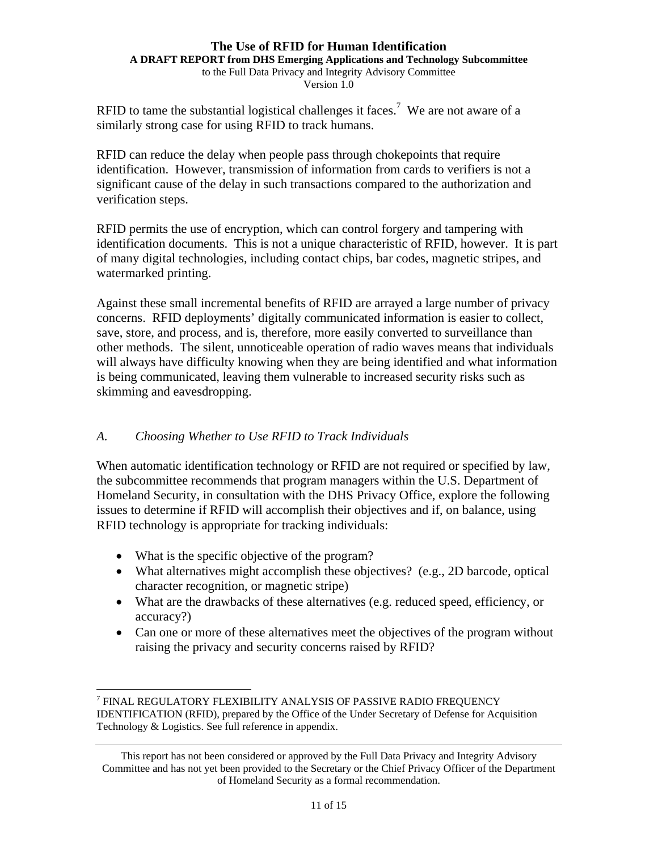**A DRAFT REPORT from DHS Emerging Applications and Technology Subcommittee** 

to the Full Data Privacy and Integrity Advisory Committee Version 1.0

RFID to tame the substantial logistical challenges it faces.<sup>7</sup> We are not aware of a similarly strong case for using RFID to track humans.

RFID can reduce the delay when people pass through chokepoints that require identification. However, transmission of information from cards to verifiers is not a significant cause of the delay in such transactions compared to the authorization and verification steps.

RFID permits the use of encryption, which can control forgery and tampering with identification documents. This is not a unique characteristic of RFID, however. It is part of many digital technologies, including contact chips, bar codes, magnetic stripes, and watermarked printing.

Against these small incremental benefits of RFID are arrayed a large number of privacy concerns. RFID deployments' digitally communicated information is easier to collect, save, store, and process, and is, therefore, more easily converted to surveillance than other methods. The silent, unnoticeable operation of radio waves means that individuals will always have difficulty knowing when they are being identified and what information is being communicated, leaving them vulnerable to increased security risks such as skimming and eavesdropping.

### *A. Choosing Whether to Use RFID to Track Individuals*

When automatic identification technology or RFID are not required or specified by law, the subcommittee recommends that program managers within the U.S. Department of Homeland Security, in consultation with the DHS Privacy Office, explore the following issues to determine if RFID will accomplish their objectives and if, on balance, using RFID technology is appropriate for tracking individuals:

- What is the specific objective of the program?
- What alternatives might accomplish these objectives? (e.g., 2D barcode, optical character recognition, or magnetic stripe)
- What are the drawbacks of these alternatives (e.g. reduced speed, efficiency, or accuracy?)
- Can one or more of these alternatives meet the objectives of the program without raising the privacy and security concerns raised by RFID?

 $\overline{a}$ 7 FINAL REGULATORY FLEXIBILITY ANALYSIS OF PASSIVE RADIO FREQUENCY IDENTIFICATION (RFID), prepared by the Office of the Under Secretary of Defense for Acquisition Technology & Logistics. See full reference in appendix.

This report has not been considered or approved by the Full Data Privacy and Integrity Advisory Committee and has not yet been provided to the Secretary or the Chief Privacy Officer of the Department of Homeland Security as a formal recommendation.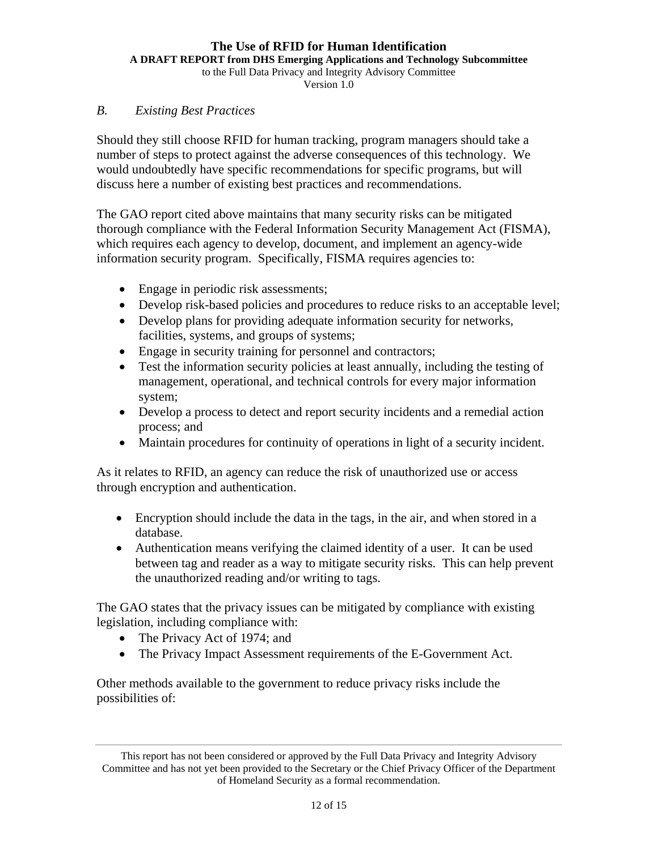**A DRAFT REPORT from DHS Emerging Applications and Technology Subcommittee** 

to the Full Data Privacy and Integrity Advisory Committee

Version 1.0

#### *B. Existing Best Practices*

Should they still choose RFID for human tracking, program managers should take a number of steps to protect against the adverse consequences of this technology. We would undoubtedly have specific recommendations for specific programs, but will discuss here a number of existing best practices and recommendations.

The GAO report cited above maintains that many security risks can be mitigated thorough compliance with the Federal Information Security Management Act (FISMA), which requires each agency to develop, document, and implement an agency-wide information security program. Specifically, FISMA requires agencies to:

- Engage in periodic risk assessments;
- Develop risk-based policies and procedures to reduce risks to an acceptable level;
- Develop plans for providing adequate information security for networks, facilities, systems, and groups of systems;
- Engage in security training for personnel and contractors;
- Test the information security policies at least annually, including the testing of management, operational, and technical controls for every major information system;
- Develop a process to detect and report security incidents and a remedial action process; and
- Maintain procedures for continuity of operations in light of a security incident.

As it relates to RFID, an agency can reduce the risk of unauthorized use or access through encryption and authentication.

- Encryption should include the data in the tags, in the air, and when stored in a database.
- Authentication means verifying the claimed identity of a user. It can be used between tag and reader as a way to mitigate security risks. This can help prevent the unauthorized reading and/or writing to tags.

The GAO states that the privacy issues can be mitigated by compliance with existing legislation, including compliance with:

- The Privacy Act of 1974; and
- The Privacy Impact Assessment requirements of the E-Government Act.

Other methods available to the government to reduce privacy risks include the possibilities of:

This report has not been considered or approved by the Full Data Privacy and Integrity Advisory Committee and has not yet been provided to the Secretary or the Chief Privacy Officer of the Department of Homeland Security as a formal recommendation.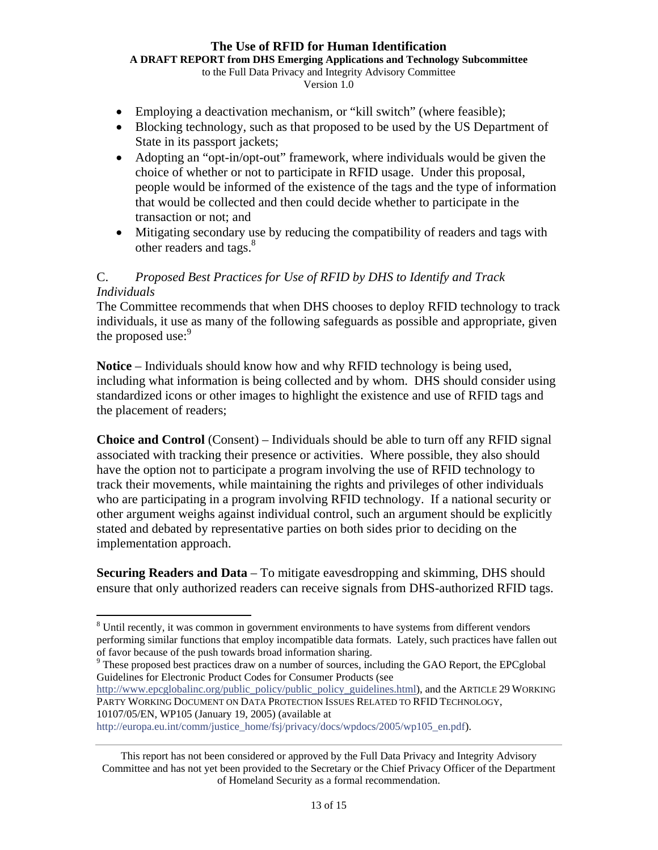**A DRAFT REPORT from DHS Emerging Applications and Technology Subcommittee** 

to the Full Data Privacy and Integrity Advisory Committee Version 1.0

- Employing a deactivation mechanism, or "kill switch" (where feasible);
- Blocking technology, such as that proposed to be used by the US Department of State in its passport jackets;
- Adopting an "opt-in/opt-out" framework, where individuals would be given the choice of whether or not to participate in RFID usage. Under this proposal, people would be informed of the existence of the tags and the type of information that would be collected and then could decide whether to participate in the transaction or not; and
- Mitigating secondary use by reducing the compatibility of readers and tags with other readers and tags.<sup>8</sup>

## C. *Proposed Best Practices for Use of RFID by DHS to Identify and Track Individuals*

The Committee recommends that when DHS chooses to deploy RFID technology to track individuals, it use as many of the following safeguards as possible and appropriate, given the proposed use:<sup>9</sup>

**Notice** – Individuals should know how and why RFID technology is being used, including what information is being collected and by whom. DHS should consider using standardized icons or other images to highlight the existence and use of RFID tags and the placement of readers;

**Choice and Control** (Consent) – Individuals should be able to turn off any RFID signal associated with tracking their presence or activities. Where possible, they also should have the option not to participate a program involving the use of RFID technology to track their movements, while maintaining the rights and privileges of other individuals who are participating in a program involving RFID technology. If a national security or other argument weighs against individual control, such an argument should be explicitly stated and debated by representative parties on both sides prior to deciding on the implementation approach.

**Securing Readers and Data** – To mitigate eavesdropping and skimming, DHS should ensure that only authorized readers can receive signals from DHS-authorized RFID tags.

http://www.epcglobalinc.org/public\_policy/public\_policy\_guidelines.html), and the ARTICLE 29 WORKING PARTY WORKING DOCUMENT ON DATA PROTECTION ISSUES RELATED TO RFID TECHNOLOGY, 10107/05/EN, WP105 (January 19, 2005) (available at

 $\overline{a}$ <sup>8</sup> Until recently, it was common in government environments to have systems from different vendors performing similar functions that employ incompatible data formats. Lately, such practices have fallen out of favor because of the push towards broad information sharing.<br><sup>9</sup> These proposed best practices draw on a number of sources, including the GAO Report, the EPCglobal

Guidelines for Electronic Product Codes for Consumer Products (see

http://europa.eu.int/comm/justice\_home/fsj/privacy/docs/wpdocs/2005/wp105\_en.pdf).

This report has not been considered or approved by the Full Data Privacy and Integrity Advisory Committee and has not yet been provided to the Secretary or the Chief Privacy Officer of the Department of Homeland Security as a formal recommendation.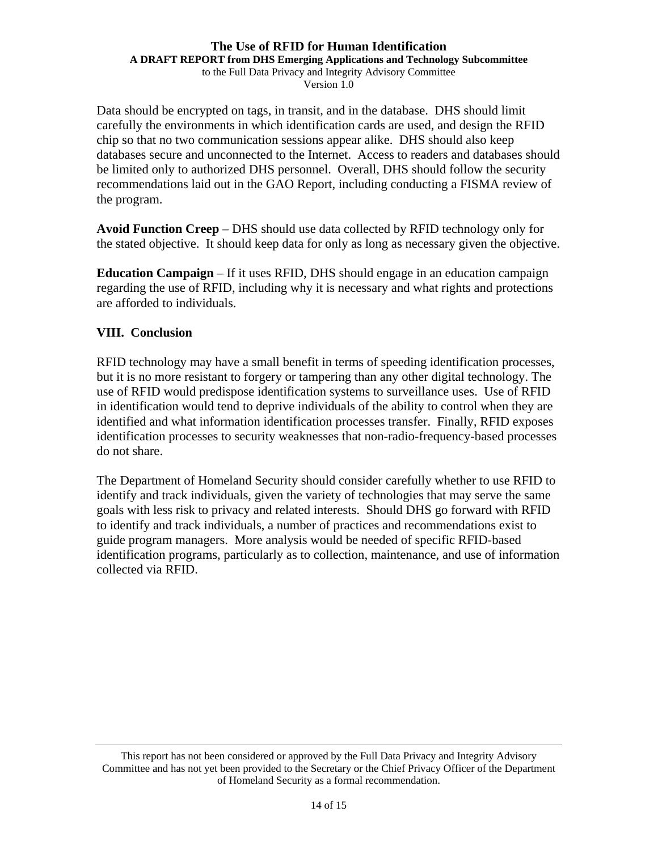**A DRAFT REPORT from DHS Emerging Applications and Technology Subcommittee** 

to the Full Data Privacy and Integrity Advisory Committee Version 1.0

Data should be encrypted on tags, in transit, and in the database. DHS should limit carefully the environments in which identification cards are used, and design the RFID chip so that no two communication sessions appear alike. DHS should also keep databases secure and unconnected to the Internet. Access to readers and databases should be limited only to authorized DHS personnel. Overall, DHS should follow the security recommendations laid out in the GAO Report, including conducting a FISMA review of the program.

**Avoid Function Creep** – DHS should use data collected by RFID technology only for the stated objective. It should keep data for only as long as necessary given the objective.

**Education Campaign** – If it uses RFID, DHS should engage in an education campaign regarding the use of RFID, including why it is necessary and what rights and protections are afforded to individuals.

### **VIII. Conclusion**

RFID technology may have a small benefit in terms of speeding identification processes, but it is no more resistant to forgery or tampering than any other digital technology. The use of RFID would predispose identification systems to surveillance uses. Use of RFID in identification would tend to deprive individuals of the ability to control when they are identified and what information identification processes transfer. Finally, RFID exposes identification processes to security weaknesses that non-radio-frequency-based processes do not share.

The Department of Homeland Security should consider carefully whether to use RFID to identify and track individuals, given the variety of technologies that may serve the same goals with less risk to privacy and related interests. Should DHS go forward with RFID to identify and track individuals, a number of practices and recommendations exist to guide program managers. More analysis would be needed of specific RFID-based identification programs, particularly as to collection, maintenance, and use of information collected via RFID.

This report has not been considered or approved by the Full Data Privacy and Integrity Advisory Committee and has not yet been provided to the Secretary or the Chief Privacy Officer of the Department of Homeland Security as a formal recommendation.